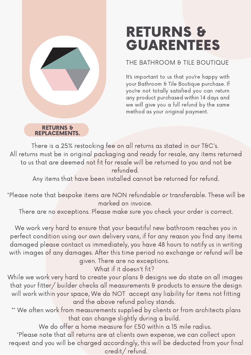# RETURNS & GUARENTEES

### THE BATHROOM & TILE BOUTIQUE

It's important to us that you're happy with your Bathroom & Tile Boutique purchase. If you're not totally satisfied you can return any product purchased within 14 days and we will give you a full refund by the same method as your original payment.

RETURNS & REPLACEMENTS.

There is a 25% restocking fee on all returns as stated in our T&C's. All returns must be in original packaging and ready for resale, any items returned to us that are deemed not fit for resale will be returned to you and not be refunded.

Any items that have been installed cannot be returned for refund.

\*Please note that bespoke items are NON refundable or transferable. These will be marked on invoice.

There are no exceptions. Please make sure you check your order is correct.

We work very hard to ensure that your beautiful new bathroom reaches you in perfect condition using our own delivery vans, if for any reason you find any items damaged please contact us immediately, you have 48 hours to notify us in writing with images of any damages. After this time period no exchange or refund will be given. There are no exceptions.

What if it doesn't fit?

While we work very hard to create your plans & designs we do state on all images that your fitter/ builder checks all measurements & products to ensure the design will work within your space, We do NOT accept any liability for items not fitting and the above refund policy stands.

\*\* We often work from measurements supplied by clients or from architects plans that can change slightly during a build.

We do offer a home measure for £50 within a 15 mile radius.

\*Please note that all returns are at clients own expense, we can collect upon request and you will be charged accordingly, this will be deducted from your final credit/ refund.